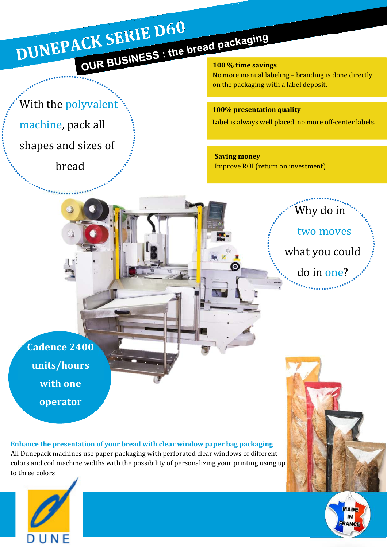# DUNEPACK SERIE D60 OUR BUSINESS : the bread packaging

### With the polyvalent<sup>®</sup>

machine, pack all

shapes and sizes of

bread

No more manual labeling – branding is done directly on the packaging with a label deposit.

### 100% presentation quality

Label is always well placed, no more off-center labels.

Saving money Improve ROI (return on investment)



Cadence 2400 units/hours with one operator

Enhance the presentation of your bread with clear window paper bag packaging All Dunepack machines use paper packaging with perforated clear windows of different colors and coil machine widths with the possibility of personalizing your printing using up to three colors